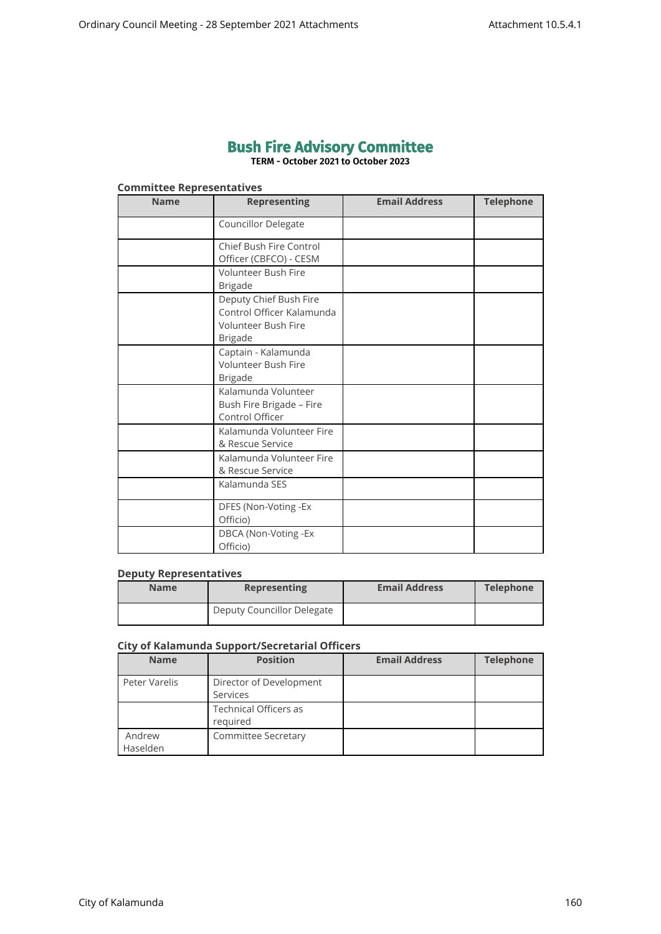# **Bush Fire Advisory Committee**

**TERM - October 2021 to October 2023**

# **Committee Representatives**

| <b>Name</b> | <b>Representing</b>                                                                                 | <b>Email Address</b> | <b>Telephone</b> |
|-------------|-----------------------------------------------------------------------------------------------------|----------------------|------------------|
|             | <b>Councillor Delegate</b>                                                                          |                      |                  |
|             | Chief Bush Fire Control<br>Officer (CBFCO) - CESM                                                   |                      |                  |
|             | <b>Volunteer Bush Fire</b><br><b>Brigade</b>                                                        |                      |                  |
|             | Deputy Chief Bush Fire<br>Control Officer Kalamunda<br><b>Volunteer Bush Fire</b><br><b>Brigade</b> |                      |                  |
|             | Captain - Kalamunda<br>Volunteer Bush Fire<br><b>Brigade</b>                                        |                      |                  |
|             | Kalamunda Volunteer<br>Bush Fire Brigade - Fire<br>Control Officer                                  |                      |                  |
|             | Kalamunda Volunteer Fire<br>& Rescue Service                                                        |                      |                  |
|             | Kalamunda Volunteer Fire<br>& Rescue Service                                                        |                      |                  |
|             | Kalamunda SES                                                                                       |                      |                  |
|             | DFES (Non-Voting -Ex<br>Officio)                                                                    |                      |                  |
|             | DBCA (Non-Voting -Ex<br>Officio)                                                                    |                      |                  |

#### **Deputy Representatives**

| <b>Name</b> | <b>Representing</b>        | <b>Email Address</b> | <b>Telephone</b> |
|-------------|----------------------------|----------------------|------------------|
|             | Deputy Councillor Delegate |                      |                  |

### **City of Kalamunda Support/Secretarial Officers**

| <b>Name</b>        | <b>Position</b>                          | <b>Email Address</b> | <b>Telephone</b> |
|--------------------|------------------------------------------|----------------------|------------------|
| Peter Varelis      | Director of Development<br>Services      |                      |                  |
|                    | <b>Technical Officers as</b><br>required |                      |                  |
| Andrew<br>Haselden | <b>Committee Secretary</b>               |                      |                  |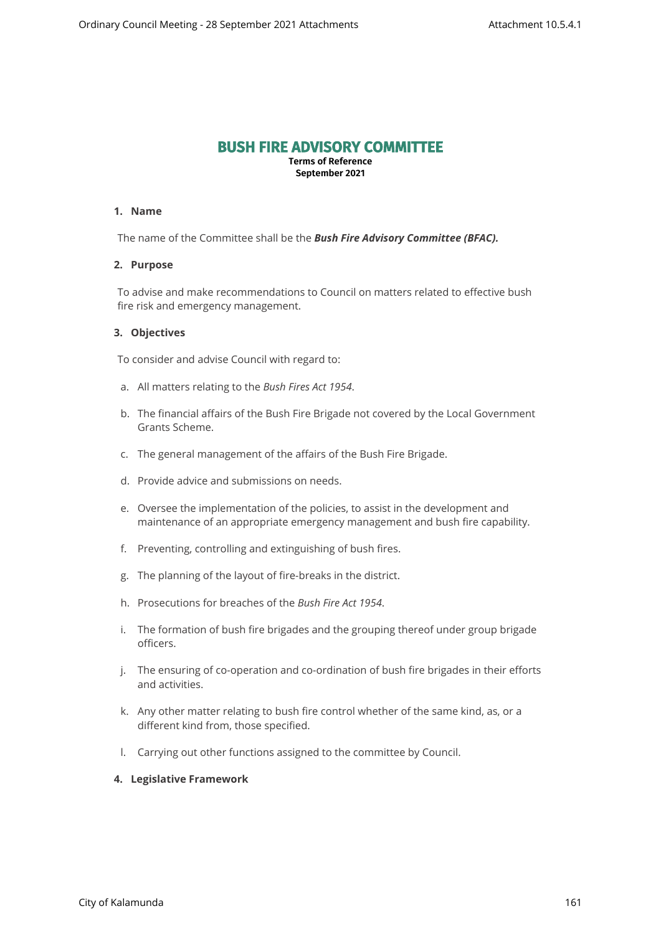# **BUSH FIRE ADVISORY COMMITTEE**

**Terms of Reference September 2021**

#### **1. Name**

The name of the Committee shall be the *Bush Fire Advisory Committee (BFAC).*

#### **2. Purpose**

To advise and make recommendations to Council on matters related to effective bush fire risk and emergency management.

#### **3. Objectives**

To consider and advise Council with regard to:

- a. All matters relating to the *Bush Fires Act 1954*.
- b. The financial affairs of the Bush Fire Brigade not covered by the Local Government Grants Scheme.
- c. The general management of the affairs of the Bush Fire Brigade.
- d. Provide advice and submissions on needs.
- e. Oversee the implementation of the policies, to assist in the development and maintenance of an appropriate emergency management and bush fire capability.
- f. Preventing, controlling and extinguishing of bush fires.
- g. The planning of the layout of fire-breaks in the district.
- h. Prosecutions for breaches of the *Bush Fire Act 1954*.
- i. The formation of bush fire brigades and the grouping thereof under group brigade officers.
- j. The ensuring of co-operation and co-ordination of bush fire brigades in their efforts and activities.
- k. Any other matter relating to bush fire control whether of the same kind, as, or a different kind from, those specified.
- l. Carrying out other functions assigned to the committee by Council.

# **4. Legislative Framework**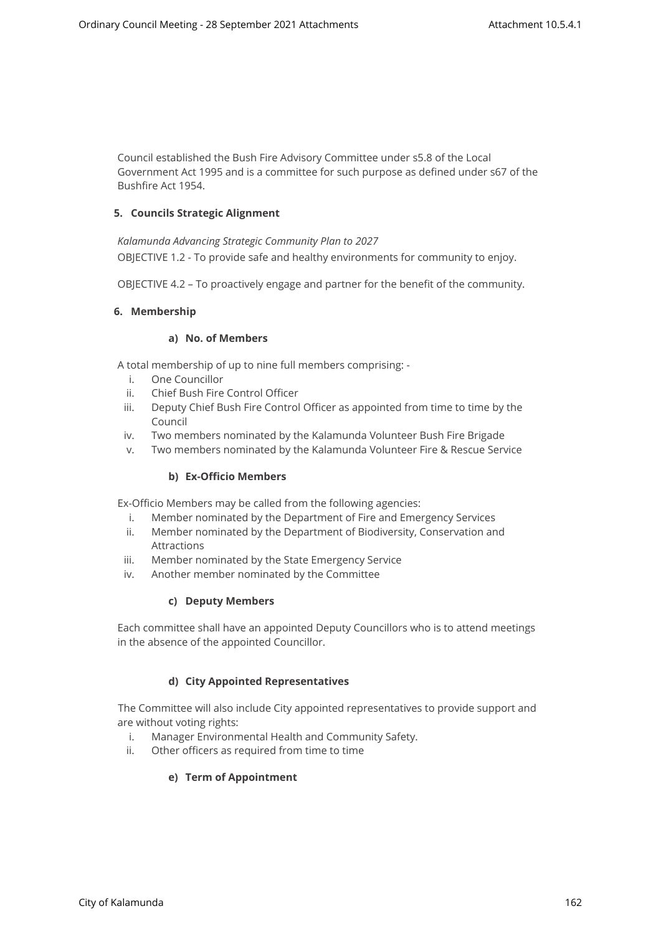Council established the Bush Fire Advisory Committee under s5.8 of the Local Government Act 1995 and is a committee for such purpose as defined under s67 of the Bushfire Act 1954.

# **5. Councils Strategic Alignment**

*Kalamunda Advancing Strategic Community Plan to 2027*  OBJECTIVE 1.2 - To provide safe and healthy environments for community to enjoy.

OBJECTIVE 4.2 – To proactively engage and partner for the benefit of the community.

# **6. Membership**

# **a) No. of Members**

A total membership of up to nine full members comprising: -

- i. One Councillor
- ii. Chief Bush Fire Control Officer
- iii. Deputy Chief Bush Fire Control Officer as appointed from time to time by the Council
- iv. Two members nominated by the Kalamunda Volunteer Bush Fire Brigade
- v. Two members nominated by the Kalamunda Volunteer Fire & Rescue Service

# **b) Ex-Officio Members**

Ex-Officio Members may be called from the following agencies:

- i. Member nominated by the Department of Fire and Emergency Services
- ii. Member nominated by the Department of Biodiversity, Conservation and Attractions
- iii. Member nominated by the State Emergency Service
- iv. Another member nominated by the Committee

# **c) Deputy Members**

Each committee shall have an appointed Deputy Councillors who is to attend meetings in the absence of the appointed Councillor.

# **d) City Appointed Representatives**

The Committee will also include City appointed representatives to provide support and are without voting rights:

- i. Manager Environmental Health and Community Safety.
- ii. Other officers as required from time to time

# **e) Term of Appointment**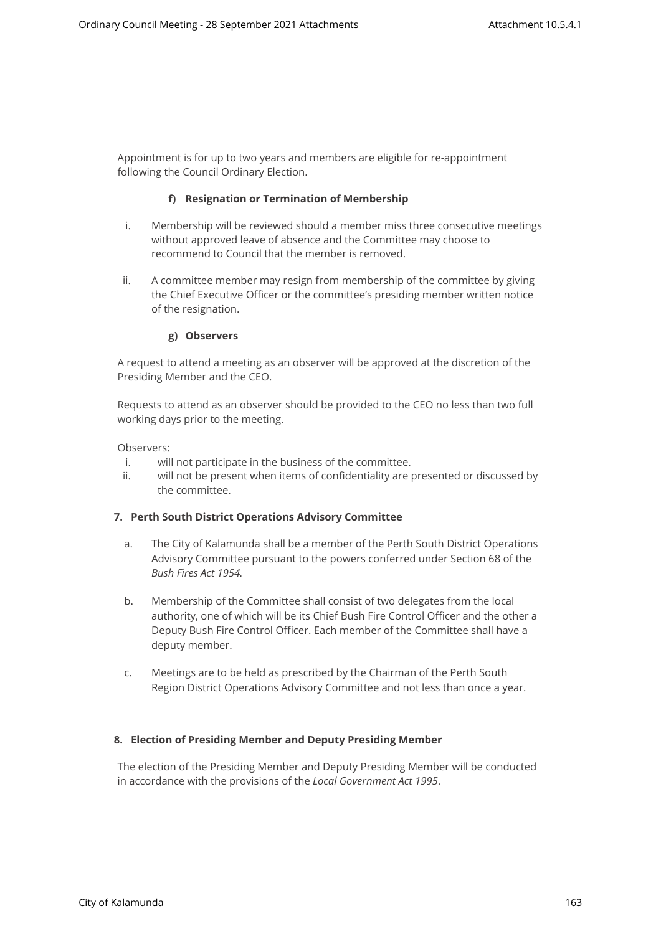Appointment is for up to two years and members are eligible for re-appointment following the Council Ordinary Election.

# **f) Resignation or Termination of Membership**

- i. Membership will be reviewed should a member miss three consecutive meetings without approved leave of absence and the Committee may choose to recommend to Council that the member is removed.
- ii. A committee member may resign from membership of the committee by giving the Chief Executive Officer or the committee's presiding member written notice of the resignation.

#### **g) Observers**

A request to attend a meeting as an observer will be approved at the discretion of the Presiding Member and the CEO.

Requests to attend as an observer should be provided to the CEO no less than two full working days prior to the meeting.

Observers:

- i. will not participate in the business of the committee.
- ii. will not be present when items of confidentiality are presented or discussed by the committee.

# **7. Perth South District Operations Advisory Committee**

- a. The City of Kalamunda shall be a member of the Perth South District Operations Advisory Committee pursuant to the powers conferred under Section 68 of the *Bush Fires Act 1954.*
- b. Membership of the Committee shall consist of two delegates from the local authority, one of which will be its Chief Bush Fire Control Officer and the other a Deputy Bush Fire Control Officer. Each member of the Committee shall have a deputy member.
- c. Meetings are to be held as prescribed by the Chairman of the Perth South Region District Operations Advisory Committee and not less than once a year.

# **8. Election of Presiding Member and Deputy Presiding Member**

The election of the Presiding Member and Deputy Presiding Member will be conducted in accordance with the provisions of the *Local Government Act 1995*.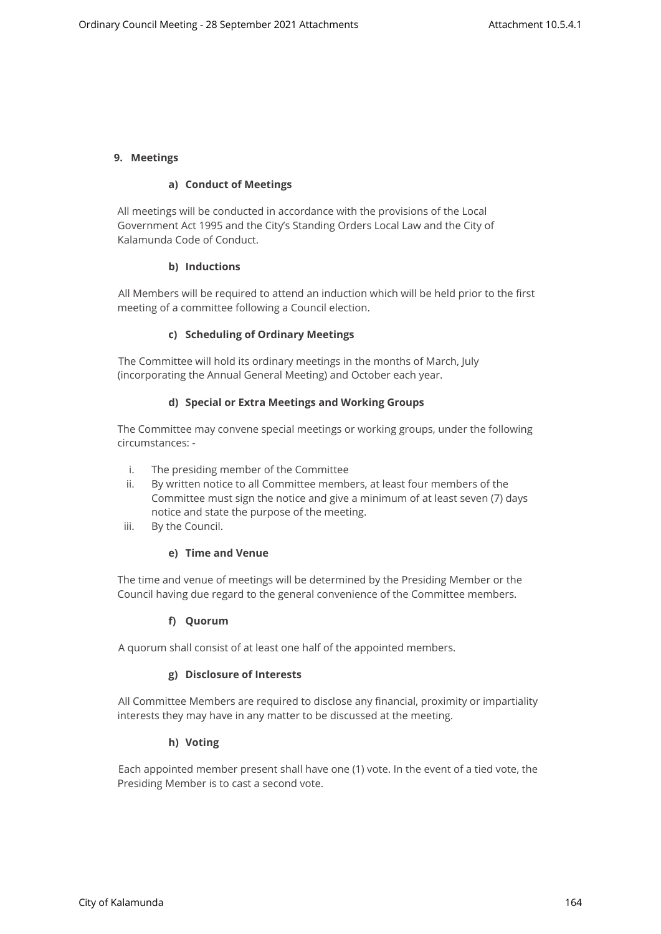#### **9. Meetings**

#### **a) Conduct of Meetings**

All meetings will be conducted in accordance with the provisions of the Local Government Act 1995 and the City's Standing Orders Local Law and the City of Kalamunda Code of Conduct.

#### **b) Inductions**

All Members will be required to attend an induction which will be held prior to the first meeting of a committee following a Council election.

#### **c) Scheduling of Ordinary Meetings**

The Committee will hold its ordinary meetings in the months of March, July (incorporating the Annual General Meeting) and October each year.

#### **d) Special or Extra Meetings and Working Groups**

The Committee may convene special meetings or working groups, under the following circumstances: -

- i. The presiding member of the Committee
- ii. By written notice to all Committee members, at least four members of the Committee must sign the notice and give a minimum of at least seven (7) days notice and state the purpose of the meeting.
- iii. By the Council.

# **e) Time and Venue**

The time and venue of meetings will be determined by the Presiding Member or the Council having due regard to the general convenience of the Committee members.

# **f) Quorum**

A quorum shall consist of at least one half of the appointed members.

# **g) Disclosure of Interests**

All Committee Members are required to disclose any financial, proximity or impartiality interests they may have in any matter to be discussed at the meeting.

#### **h) Voting**

Each appointed member present shall have one (1) vote. In the event of a tied vote, the Presiding Member is to cast a second vote.